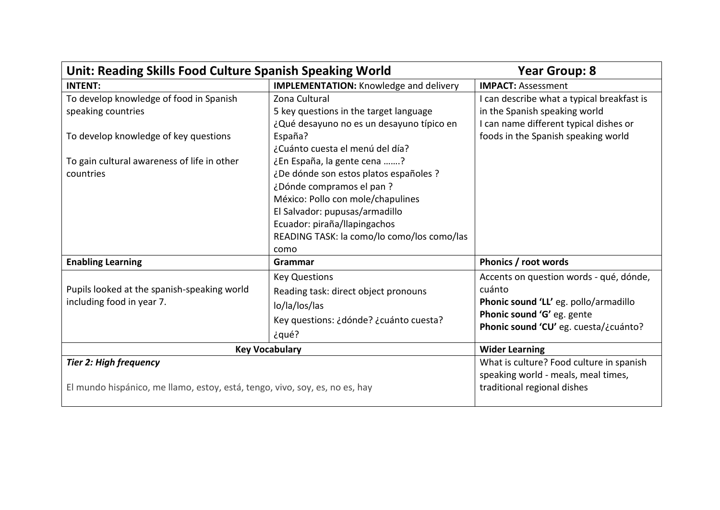| Unit: Reading Skills Food Culture Spanish Speaking World                                                                                                           |                                                                                                                                                                                                                                                                                                                                                                                                                       | <b>Year Group: 8</b>                                                                                                                                              |
|--------------------------------------------------------------------------------------------------------------------------------------------------------------------|-----------------------------------------------------------------------------------------------------------------------------------------------------------------------------------------------------------------------------------------------------------------------------------------------------------------------------------------------------------------------------------------------------------------------|-------------------------------------------------------------------------------------------------------------------------------------------------------------------|
| <b>INTENT:</b>                                                                                                                                                     | <b>IMPLEMENTATION:</b> Knowledge and delivery                                                                                                                                                                                                                                                                                                                                                                         | <b>IMPACT: Assessment</b>                                                                                                                                         |
| To develop knowledge of food in Spanish<br>speaking countries<br>To develop knowledge of key questions<br>To gain cultural awareness of life in other<br>countries | Zona Cultural<br>5 key questions in the target language<br>¿Qué desayuno no es un desayuno típico en<br>España?<br>¿Cuánto cuesta el menú del día?<br>¿En España, la gente cena ?<br>¿De dónde son estos platos españoles ?<br>¿Dónde compramos el pan ?<br>México: Pollo con mole/chapulines<br>El Salvador: pupusas/armadillo<br>Ecuador: piraña/llapingachos<br>READING TASK: la como/lo como/los como/las<br>como | I can describe what a typical breakfast is<br>in the Spanish speaking world<br>I can name different typical dishes or<br>foods in the Spanish speaking world      |
| <b>Enabling Learning</b>                                                                                                                                           | Grammar                                                                                                                                                                                                                                                                                                                                                                                                               | Phonics / root words                                                                                                                                              |
| Pupils looked at the spanish-speaking world<br>including food in year 7.                                                                                           | <b>Key Questions</b><br>Reading task: direct object pronouns<br>lo/la/los/las<br>Key questions: ¿dónde? ¿cuánto cuesta?<br>¿qué?                                                                                                                                                                                                                                                                                      | Accents on question words - qué, dónde,<br>cuánto<br>Phonic sound 'LL' eg. pollo/armadillo<br>Phonic sound 'G' eg. gente<br>Phonic sound 'CU' eg. cuesta/¿cuánto? |
| <b>Key Vocabulary</b>                                                                                                                                              |                                                                                                                                                                                                                                                                                                                                                                                                                       | <b>Wider Learning</b>                                                                                                                                             |
| <b>Tier 2: High frequency</b><br>El mundo hispánico, me llamo, estoy, está, tengo, vivo, soy, es, no es, hay                                                       |                                                                                                                                                                                                                                                                                                                                                                                                                       | What is culture? Food culture in spanish<br>speaking world - meals, meal times,<br>traditional regional dishes                                                    |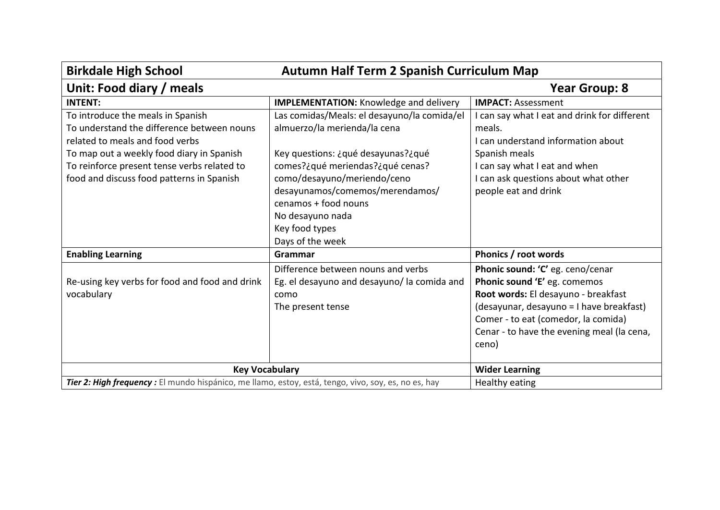| <b>Birkdale High School</b><br>Autumn Half Term 2 Spanish Curriculum Map                                                                                                                                                                                    |                                                                                                                                                                                                                                                                                                           |                                                                                                                                                                                                                                                   |
|-------------------------------------------------------------------------------------------------------------------------------------------------------------------------------------------------------------------------------------------------------------|-----------------------------------------------------------------------------------------------------------------------------------------------------------------------------------------------------------------------------------------------------------------------------------------------------------|---------------------------------------------------------------------------------------------------------------------------------------------------------------------------------------------------------------------------------------------------|
| Unit: Food diary / meals                                                                                                                                                                                                                                    |                                                                                                                                                                                                                                                                                                           | <b>Year Group: 8</b>                                                                                                                                                                                                                              |
| <b>INTENT:</b>                                                                                                                                                                                                                                              | <b>IMPLEMENTATION:</b> Knowledge and delivery                                                                                                                                                                                                                                                             | <b>IMPACT: Assessment</b>                                                                                                                                                                                                                         |
| To introduce the meals in Spanish<br>To understand the difference between nouns<br>related to meals and food verbs<br>To map out a weekly food diary in Spanish<br>To reinforce present tense verbs related to<br>food and discuss food patterns in Spanish | Las comidas/Meals: el desayuno/la comida/el<br>almuerzo/la merienda/la cena<br>Key questions: ¿qué desayunas?¿qué<br>comes?¿qué meriendas?¿qué cenas?<br>como/desayuno/meriendo/ceno<br>desayunamos/comemos/merendamos/<br>cenamos + food nouns<br>No desayuno nada<br>Key food types<br>Days of the week | can say what I eat and drink for different<br>meals.<br>I can understand information about<br>Spanish meals<br>I can say what I eat and when<br>can ask questions about what other<br>people eat and drink                                        |
| <b>Enabling Learning</b>                                                                                                                                                                                                                                    | <b>Grammar</b>                                                                                                                                                                                                                                                                                            | Phonics / root words                                                                                                                                                                                                                              |
| Re-using key verbs for food and food and drink<br>vocabulary                                                                                                                                                                                                | Difference between nouns and verbs<br>Eg. el desayuno and desayuno/ la comida and<br>como<br>The present tense                                                                                                                                                                                            | Phonic sound: 'C' eg. ceno/cenar<br>Phonic sound 'E' eg. comemos<br>Root words: El desayuno - breakfast<br>(desayunar, desayuno = I have breakfast)<br>Comer - to eat (comedor, la comida)<br>Cenar - to have the evening meal (la cena,<br>ceno) |
| <b>Key Vocabulary</b>                                                                                                                                                                                                                                       |                                                                                                                                                                                                                                                                                                           | <b>Wider Learning</b>                                                                                                                                                                                                                             |
| Tier 2: High frequency : El mundo hispánico, me llamo, estoy, está, tengo, vivo, soy, es, no es, hay                                                                                                                                                        |                                                                                                                                                                                                                                                                                                           | Healthy eating                                                                                                                                                                                                                                    |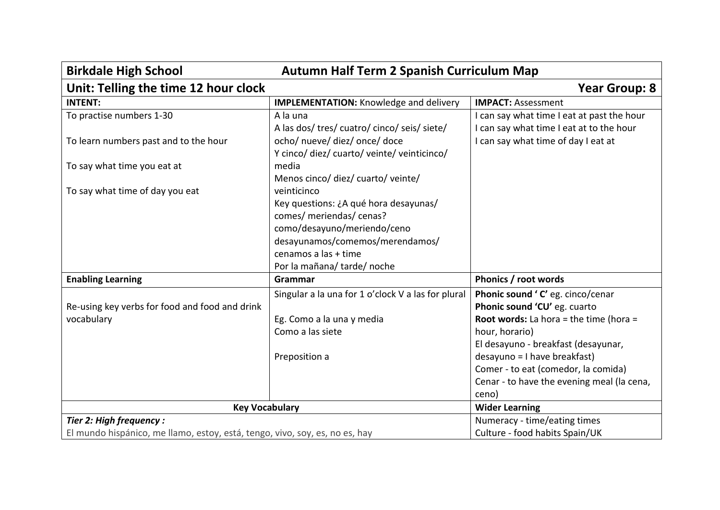| Autumn Half Term 2 Spanish Curriculum Map<br><b>Birkdale High School</b>    |                                                    |                                               |
|-----------------------------------------------------------------------------|----------------------------------------------------|-----------------------------------------------|
| Unit: Telling the time 12 hour clock                                        |                                                    | <b>Year Group: 8</b>                          |
| <b>INTENT:</b>                                                              | <b>IMPLEMENTATION: Knowledge and delivery</b>      | <b>IMPACT: Assessment</b>                     |
| To practise numbers 1-30                                                    | A la una                                           | I can say what time I eat at past the hour    |
|                                                                             | A las dos/ tres/ cuatro/ cinco/ seis/ siete/       | I can say what time I eat at to the hour      |
| To learn numbers past and to the hour                                       | ocho/ nueve/ diez/ once/ doce                      | I can say what time of day I eat at           |
|                                                                             | Y cinco/ diez/ cuarto/ veinte/ veinticinco/        |                                               |
| To say what time you eat at                                                 | media                                              |                                               |
|                                                                             | Menos cinco/ diez/ cuarto/ veinte/                 |                                               |
| To say what time of day you eat                                             | veinticinco                                        |                                               |
|                                                                             | Key questions: ¿A qué hora desayunas/              |                                               |
|                                                                             | comes/ meriendas/ cenas?                           |                                               |
|                                                                             | como/desayuno/meriendo/ceno                        |                                               |
|                                                                             | desayunamos/comemos/merendamos/                    |                                               |
|                                                                             | cenamos a las + time                               |                                               |
|                                                                             | Por la mañana/tarde/noche                          |                                               |
| <b>Enabling Learning</b>                                                    | Grammar                                            | Phonics / root words                          |
|                                                                             | Singular a la una for 1 o'clock V a las for plural | Phonic sound 'C' eg. cinco/cenar              |
| Re-using key verbs for food and food and drink                              |                                                    | Phonic sound 'CU' eg. cuarto                  |
| vocabulary                                                                  | Eg. Como a la una y media                          | <b>Root words:</b> La hora = the time (hora = |
|                                                                             | Como a las siete                                   | hour, horario)                                |
|                                                                             |                                                    | El desayuno - breakfast (desayunar,           |
|                                                                             | Preposition a                                      | desayuno = I have breakfast)                  |
|                                                                             |                                                    | Comer - to eat (comedor, la comida)           |
|                                                                             |                                                    | Cenar - to have the evening meal (la cena,    |
|                                                                             |                                                    | ceno)                                         |
| <b>Key Vocabulary</b>                                                       |                                                    | <b>Wider Learning</b>                         |
| Tier 2: High frequency :                                                    |                                                    | Numeracy - time/eating times                  |
| El mundo hispánico, me llamo, estoy, está, tengo, vivo, soy, es, no es, hay |                                                    | Culture - food habits Spain/UK                |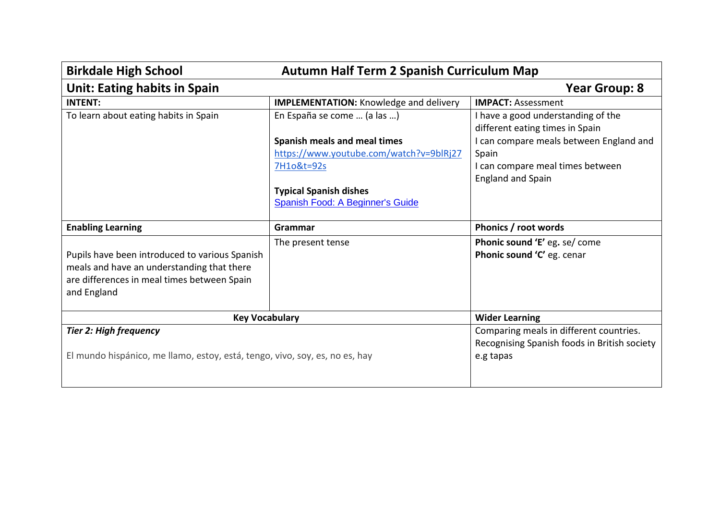| <b>Autumn Half Term 2 Spanish Curriculum Map</b><br><b>Birkdale High School</b>                                                                            |                                                                   |                                                                       |
|------------------------------------------------------------------------------------------------------------------------------------------------------------|-------------------------------------------------------------------|-----------------------------------------------------------------------|
| <b>Unit: Eating habits in Spain</b>                                                                                                                        |                                                                   | <b>Year Group: 8</b>                                                  |
| <b>INTENT:</b>                                                                                                                                             | <b>IMPLEMENTATION:</b> Knowledge and delivery                     | <b>IMPACT: Assessment</b>                                             |
| To learn about eating habits in Spain                                                                                                                      | En España se come  (a las )                                       | I have a good understanding of the<br>different eating times in Spain |
|                                                                                                                                                            | Spanish meals and meal times                                      | I can compare meals between England and                               |
|                                                                                                                                                            | https://www.youtube.com/watch?v=9blRj27                           | Spain                                                                 |
|                                                                                                                                                            | 7H1o&t=92s                                                        | I can compare meal times between                                      |
|                                                                                                                                                            |                                                                   | <b>England and Spain</b>                                              |
|                                                                                                                                                            | <b>Typical Spanish dishes</b><br>Spanish Food: A Beginner's Guide |                                                                       |
| <b>Enabling Learning</b>                                                                                                                                   | Grammar                                                           | Phonics / root words                                                  |
| Pupils have been introduced to various Spanish<br>meals and have an understanding that there<br>are differences in meal times between Spain<br>and England | The present tense                                                 | Phonic sound 'E' eg. se/ come<br>Phonic sound 'C' eg. cenar           |
| <b>Key Vocabulary</b>                                                                                                                                      |                                                                   | <b>Wider Learning</b>                                                 |
| <b>Tier 2: High frequency</b>                                                                                                                              |                                                                   | Comparing meals in different countries.                               |
| El mundo hispánico, me llamo, estoy, está, tengo, vivo, soy, es, no es, hay                                                                                |                                                                   | Recognising Spanish foods in British society<br>e.g tapas             |